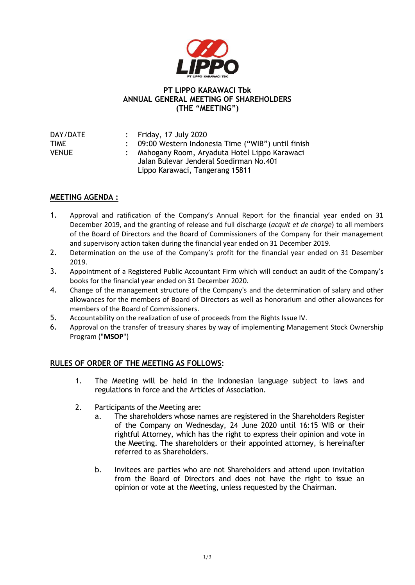

## **PT LIPPO KARAWACI Tbk ANNUAL GENERAL MEETING OF SHAREHOLDERS (THE "MEETING")**

| DAY/DATE     | : Friday, 17 July 2020                              |
|--------------|-----------------------------------------------------|
| TIME         | : 09:00 Western Indonesia Time ("WIB") until finish |
| <b>VENUE</b> | : Mahogany Room, Aryaduta Hotel Lippo Karawaci      |
|              | Jalan Bulevar Jenderal Soedirman No.401             |
|              | Lippo Karawaci, Tangerang 15811                     |

## **MEETING AGENDA :**

- 1. Approval and ratification of the Company's Annual Report for the financial year ended on 31 December 2019, and the granting of release and full discharge (*acquit et de charge*) to all members of the Board of Directors and the Board of Commissioners of the Company for their management and supervisory action taken during the financial year ended on 31 December 2019.
- 2. Determination on the use of the Company's profit for the financial year ended on 31 Desember 2019.
- 3. Appointment of a Registered Public Accountant Firm which will conduct an audit of the Company's books for the financial year ended on 31 December 2020.
- 4. Change of the management structure of the Company's and the determination of salary and other allowances for the members of Board of Directors as well as honorarium and other allowances for members of the Board of Commissioners.
- 5. Accountability on the realization of use of proceeds from the Rights Issue IV.
- 6. Approval on the transfer of treasury shares by way of implementing Management Stock Ownership Program ("**MSOP**")

## **RULES OF ORDER OF THE MEETING AS FOLLOWS:**

- 1. The Meeting will be held in the Indonesian language subject to laws and regulations in force and the Articles of Association.
- 2. Participants of the Meeting are:
	- a. The shareholders whose names are registered in the Shareholders Register of the Company on Wednesday, 24 June 2020 until 16:15 WIB or their rightful Attorney, which has the right to express their opinion and vote in the Meeting. The shareholders or their appointed attorney, is hereinafter referred to as Shareholders.
	- b. Invitees are parties who are not Shareholders and attend upon invitation from the Board of Directors and does not have the right to issue an opinion or vote at the Meeting, unless requested by the Chairman.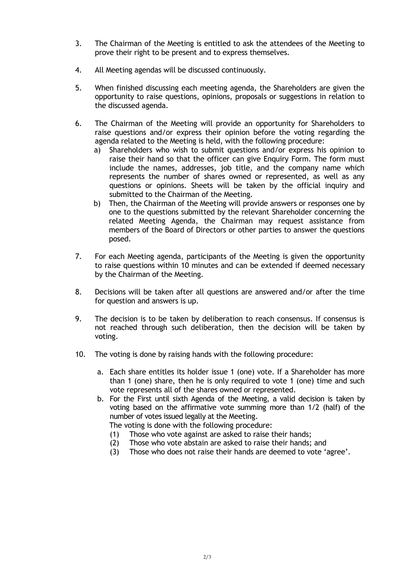- 3. The Chairman of the Meeting is entitled to ask the attendees of the Meeting to prove their right to be present and to express themselves.
- 4. All Meeting agendas will be discussed continuously.
- 5. When finished discussing each meeting agenda, the Shareholders are given the opportunity to raise questions, opinions, proposals or suggestions in relation to the discussed agenda.
- 6. The Chairman of the Meeting will provide an opportunity for Shareholders to raise questions and/or express their opinion before the voting regarding the agenda related to the Meeting is held, with the following procedure:
	- a) Shareholders who wish to submit questions and/or express his opinion to raise their hand so that the officer can give Enquiry Form. The form must include the names, addresses, job title, and the company name which represents the number of shares owned or represented, as well as any questions or opinions. Sheets will be taken by the official inquiry and submitted to the Chairman of the Meeting.
	- b) Then, the Chairman of the Meeting will provide answers or responses one by one to the questions submitted by the relevant Shareholder concerning the related Meeting Agenda, the Chairman may request assistance from members of the Board of Directors or other parties to answer the questions posed.
- 7. For each Meeting agenda, participants of the Meeting is given the opportunity to raise questions within 10 minutes and can be extended if deemed necessary by the Chairman of the Meeting.
- 8. Decisions will be taken after all questions are answered and/or after the time for question and answers is up.
- 9. The decision is to be taken by deliberation to reach consensus. If consensus is not reached through such deliberation, then the decision will be taken by voting.
- 10. The voting is done by raising hands with the following procedure:
	- a. Each share entitles its holder issue 1 (one) vote. If a Shareholder has more than 1 (one) share, then he is only required to vote 1 (one) time and such vote represents all of the shares owned or represented.
	- b. For the First until sixth Agenda of the Meeting, a valid decision is taken by voting based on the affirmative vote summing more than 1/2 (half) of the number of votes issued legally at the Meeting.
		- The voting is done with the following procedure:
		- (1) Those who vote against are asked to raise their hands;
		- (2) Those who vote abstain are asked to raise their hands; and
		- (3) Those who does not raise their hands are deemed to vote 'agree'.